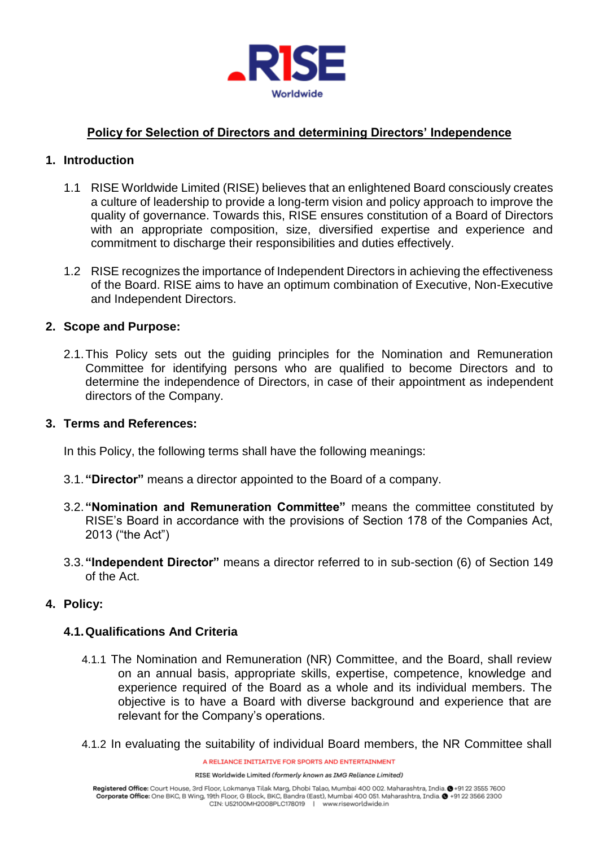

# **Policy for Selection of Directors and determining Directors' Independence**

## **1. Introduction**

- 1.1 RISE Worldwide Limited (RISE) believes that an enlightened Board consciously creates a culture of leadership to provide a long-term vision and policy approach to improve the quality of governance. Towards this, RISE ensures constitution of a Board of Directors with an appropriate composition, size, diversified expertise and experience and commitment to discharge their responsibilities and duties effectively.
- 1.2 RISE recognizes the importance of Independent Directors in achieving the effectiveness of the Board. RISE aims to have an optimum combination of Executive, Non-Executive and Independent Directors.

## **2. Scope and Purpose:**

2.1.This Policy sets out the guiding principles for the Nomination and Remuneration Committee for identifying persons who are qualified to become Directors and to determine the independence of Directors, in case of their appointment as independent directors of the Company.

#### **3. Terms and References:**

In this Policy, the following terms shall have the following meanings:

- 3.1.**"Director"** means a director appointed to the Board of a company.
- 3.2.**"Nomination and Remuneration Committee"** means the committee constituted by RISE's Board in accordance with the provisions of Section 178 of the Companies Act, 2013 ("the Act")
- 3.3.**"Independent Director"** means a director referred to in sub-section (6) of Section 149 of the Act.

## **4. Policy:**

## **4.1.Qualifications And Criteria**

- 4.1.1 The Nomination and Remuneration (NR) Committee, and the Board, shall review on an annual basis, appropriate skills, expertise, competence, knowledge and experience required of the Board as a whole and its individual members. The objective is to have a Board with diverse background and experience that are relevant for the Company's operations.
- 4.1.2 In evaluating the suitability of individual Board members, the NR Committee shall

A RELIANCE INITIATIVE FOR SPORTS AND ENTERTAINMENT

RISE Worldwide Limited (formerly known as IMG Reliance Limited)

Registered Office: Court House, 3rd Floor, Lokmanya Tilak Marg, Dhobi Talao, Mumbai 400 002. Maharashtra, India. @+91 22 3555 7600 Corporate Office: One BKC, B Wing, 19th Floor, G Block, BKC, Bandra (East), Mumbai 400 051. Maharashtra, India. @ +91 22 3566 2300 CIN: U52100MH2008PLC178019 | www.riseworldwide.in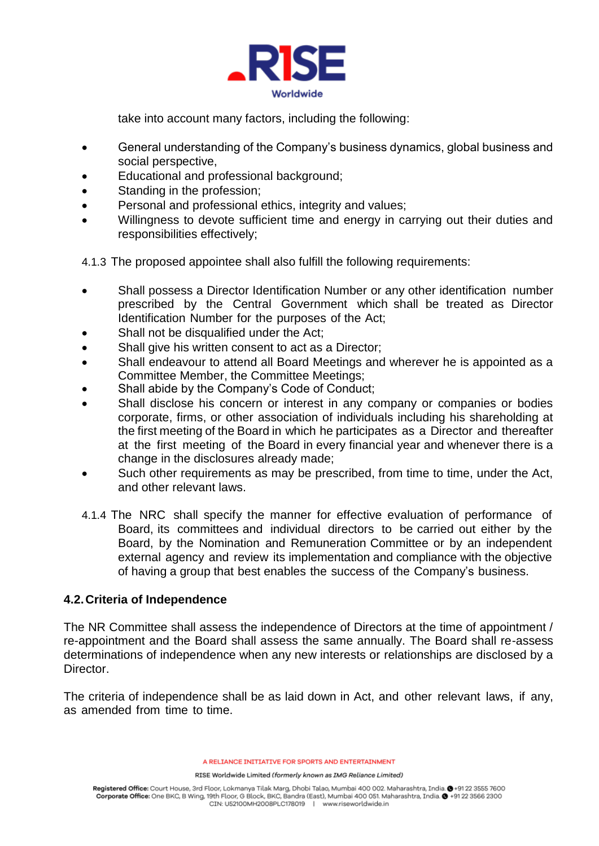

take into account many factors, including the following:

- General understanding of the Company's business dynamics, global business and social perspective,
- Educational and professional background;
- Standing in the profession;
- Personal and professional ethics, integrity and values;
- Willingness to devote sufficient time and energy in carrying out their duties and responsibilities effectively;
- 4.1.3 The proposed appointee shall also fulfill the following requirements:
- Shall possess a Director Identification Number or any other identification number prescribed by the Central Government which shall be treated as Director Identification Number for the purposes of the Act;
- Shall not be disqualified under the Act;
- Shall give his written consent to act as a Director;
- Shall endeavour to attend all Board Meetings and wherever he is appointed as a Committee Member, the Committee Meetings;
- Shall abide by the Company's Code of Conduct;
- Shall disclose his concern or interest in any company or companies or bodies corporate, firms, or other association of individuals including his shareholding at the first meeting of the Board in which he participates as a Director and thereafter at the first meeting of the Board in every financial year and whenever there is a change in the disclosures already made;
- Such other requirements as may be prescribed, from time to time, under the Act, and other relevant laws.
- 4.1.4 The NRC shall specify the manner for effective evaluation of performance of Board, its committees and individual directors to be carried out either by the Board, by the Nomination and Remuneration Committee or by an independent external agency and review its implementation and compliance with the objective of having a group that best enables the success of the Company's business.

## **4.2.Criteria of Independence**

The NR Committee shall assess the independence of Directors at the time of appointment / re-appointment and the Board shall assess the same annually. The Board shall re-assess determinations of independence when any new interests or relationships are disclosed by a **Director** 

The criteria of independence shall be as laid down in Act, and other relevant laws, if any, as amended from time to time.

A RELIANCE INITIATIVE FOR SPORTS AND ENTERTAINMENT

RISE Worldwide Limited (formerly known as IMG Reliance Limited)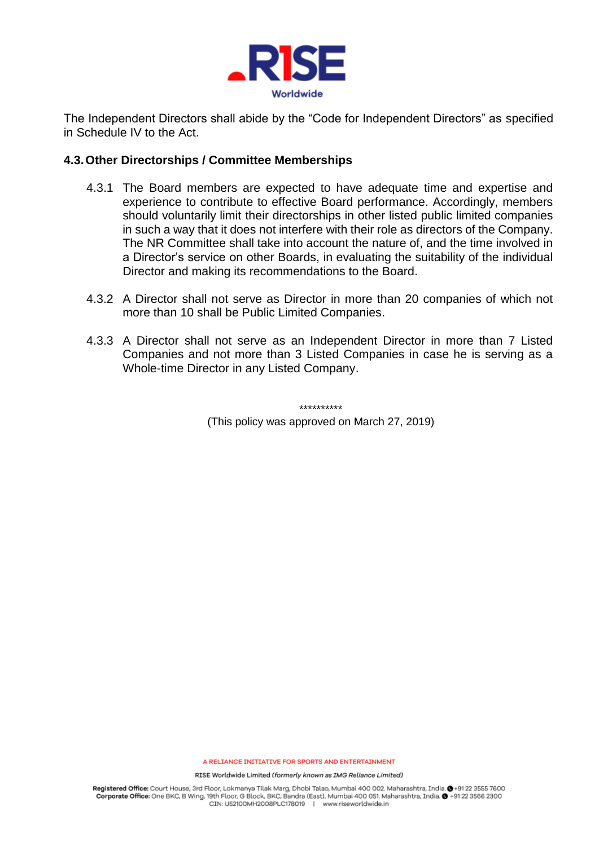

The Independent Directors shall abide by the "Code for Independent Directors" as specified in Schedule IV to the Act.

### **4.3.Other Directorships / Committee Memberships**

- 4.3.1 The Board members are expected to have adequate time and expertise and experience to contribute to effective Board performance. Accordingly, members should voluntarily limit their directorships in other listed public limited companies in such a way that it does not interfere with their role as directors of the Company. The NR Committee shall take into account the nature of, and the time involved in a Director's service on other Boards, in evaluating the suitability of the individual Director and making its recommendations to the Board.
- 4.3.2 A Director shall not serve as Director in more than 20 companies of which not more than 10 shall be Public Limited Companies.
- 4.3.3 A Director shall not serve as an Independent Director in more than 7 Listed Companies and not more than 3 Listed Companies in case he is serving as a Whole-time Director in any Listed Company.

\*\*\*\*\*\*\*\*\*\* (This policy was approved on March 27, 2019)

A RELIANCE INITIATIVE FOR SPORTS AND ENTERTAINMENT

RISE Worldwide Limited (formerly known as IMG Reliance Limited)

Registered Office: Court House, 3rd Floor, Lokmanya Tilak Marg, Dhobi Talao, Mumbai 400 002. Maharashtra, India. @+91 22 3555 7600 Corporate Office: One BKC, B Wing, 19th Floor, G Block, BKC, Bandra (East), Mumbai 400 051. Maharashtra, India. @ +91 22 3566 2300 CIN: U52100MH2008PLC178019 | www.riseworldwide.in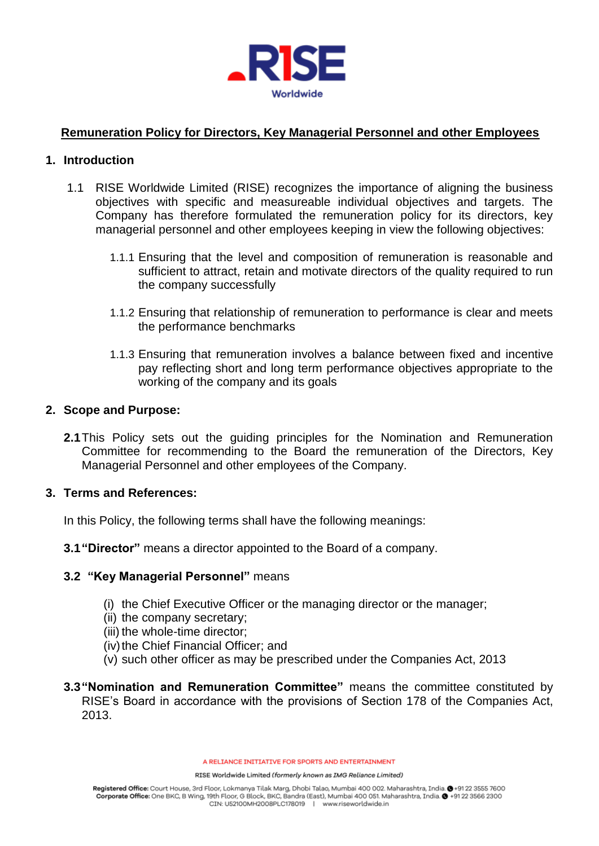

# **Remuneration Policy for Directors, Key Managerial Personnel and other Employees**

### **1. Introduction**

- 1.1 RISE Worldwide Limited (RISE) recognizes the importance of aligning the business objectives with specific and measureable individual objectives and targets. The Company has therefore formulated the remuneration policy for its directors, key managerial personnel and other employees keeping in view the following objectives:
	- 1.1.1 Ensuring that the level and composition of remuneration is reasonable and sufficient to attract, retain and motivate directors of the quality required to run the company successfully
	- 1.1.2 Ensuring that relationship of remuneration to performance is clear and meets the performance benchmarks
	- 1.1.3 Ensuring that remuneration involves a balance between fixed and incentive pay reflecting short and long term performance objectives appropriate to the working of the company and its goals

### **2. Scope and Purpose:**

**2.1**This Policy sets out the guiding principles for the Nomination and Remuneration Committee for recommending to the Board the remuneration of the Directors, Key Managerial Personnel and other employees of the Company.

#### **3. Terms and References:**

In this Policy, the following terms shall have the following meanings:

**3.1"Director"** means a director appointed to the Board of a company.

## **3.2 "Key Managerial Personnel"** means

- (i) the Chief Executive Officer or the managing director or the manager;
- (ii) the company secretary;
- (iii) the whole-time director;
- (iv) the Chief Financial Officer; and
- (v) such other officer as may be prescribed under the Companies Act, 2013
- **3.3"Nomination and Remuneration Committee"** means the committee constituted by RISE's Board in accordance with the provisions of Section 178 of the Companies Act, 2013.

A RELIANCE INITIATIVE FOR SPORTS AND ENTERTAINMENT

RISE Worldwide Limited (formerly known as IMG Reliance Limited)